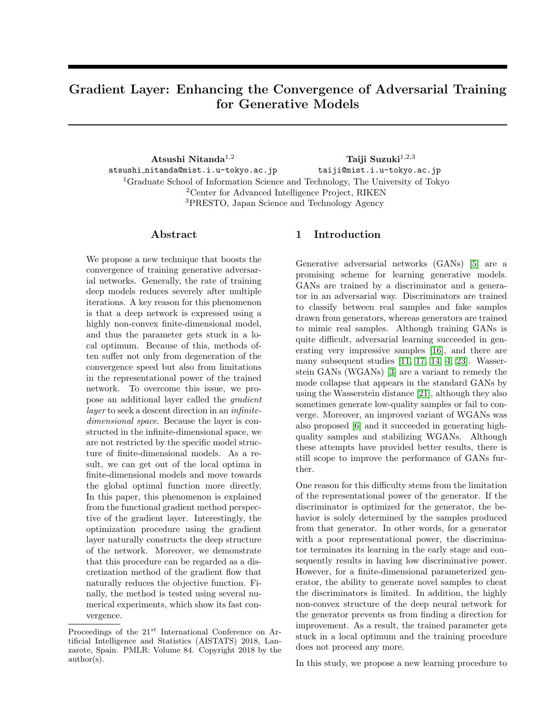# Gradient Layer: Enhancing the Convergence of Adversarial Training for Generative Models

Atsushi Nitanda $\ensuremath{\mathrm{d}}^{1,2}$ atsushi nitanda@mist.i.u-tokyo.ac.jp Taiji Suzuki $^{1,2,3}$ taiji@mist.i.u-tokyo.ac.jp <sup>1</sup>Graduate School of Information Science and Technology, The University of Tokyo <sup>2</sup>Center for Advanced Intelligence Project, RIKEN <sup>3</sup>PRESTO, Japan Science and Technology Agency

# Abstract

We propose a new technique that boosts the convergence of training generative adversarial networks. Generally, the rate of training deep models reduces severely after multiple iterations. A key reason for this phenomenon is that a deep network is expressed using a highly non-convex finite-dimensional model, and thus the parameter gets stuck in a local optimum. Because of this, methods often suffer not only from degeneration of the convergence speed but also from limitations in the representational power of the trained network. To overcome this issue, we propose an additional layer called the *gradient* layer to seek a descent direction in an infinitedimensional space. Because the layer is constructed in the infinite-dimensional space, we are not restricted by the specific model structure of finite-dimensional models. As a result, we can get out of the local optima in finite-dimensional models and move towards the global optimal function more directly. In this paper, this phenomenon is explained from the functional gradient method perspective of the gradient layer. Interestingly, the optimization procedure using the gradient layer naturally constructs the deep structure of the network. Moreover, we demonstrate that this procedure can be regarded as a discretization method of the gradient flow that naturally reduces the objective function. Finally, the method is tested using several numerical experiments, which show its fast convergence.

# 1 Introduction

Generative adversarial networks (GANs) [\[5\]](#page-8-0) are a promising scheme for learning generative models. GANs are trained by a discriminator and a generator in an adversarial way. Discriminators are trained to classify between real samples and fake samples drawn from generators, whereas generators are trained to mimic real samples. Although training GANs is quite difficult, adversarial learning succeeded in generating very impressive samples [\[16\]](#page-8-1), and there are many subsequent studies [\[11,](#page-8-2) [17,](#page-8-3) [14,](#page-8-4) [4,](#page-8-5) [23\]](#page-8-6). Wasserstein GANs (WGANs) [\[3\]](#page-8-7) are a variant to remedy the mode collapse that appears in the standard GANs by using the Wasserstein distance [\[21\]](#page-8-8), although they also sometimes generate low-quality samples or fail to converge. Moreover, an improved variant of WGANs was also proposed [\[6\]](#page-8-9) and it succeeded in generating highquality samples and stabilizing WGANs. Although these attempts have provided better results, there is still scope to improve the performance of GANs further.

One reason for this difficulty stems from the limitation of the representational power of the generator. If the discriminator is optimized for the generator, the behavior is solely determined by the samples produced from that generator. In other words, for a generator with a poor representational power, the discriminator terminates its learning in the early stage and consequently results in having low discriminative power. However, for a finite-dimensional parameterized generator, the ability to generate novel samples to cheat the discriminators is limited. In addition, the highly non-convex structure of the deep neural network for the generator prevents us from finding a direction for improvement. As a result, the trained parameter gets stuck in a local optimum and the training procedure does not proceed any more.

In this study, we propose a new learning procedure to

Proceedings of the  $21^{st}$  International Conference on Artificial Intelligence and Statistics (AISTATS) 2018, Lanzarote, Spain. PMLR: Volume 84. Copyright 2018 by the author(s).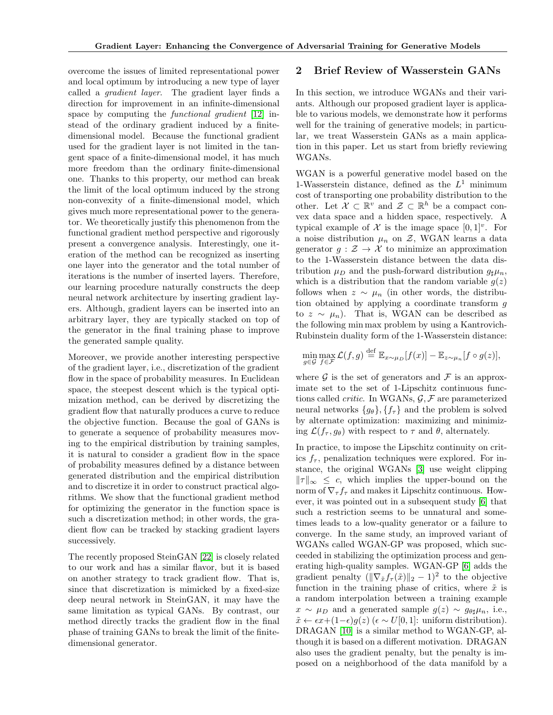overcome the issues of limited representational power and local optimum by introducing a new type of layer called a gradient layer. The gradient layer finds a direction for improvement in an infinite-dimensional space by computing the *functional gradient* [\[12\]](#page-8-10) instead of the ordinary gradient induced by a finitedimensional model. Because the functional gradient used for the gradient layer is not limited in the tangent space of a finite-dimensional model, it has much more freedom than the ordinary finite-dimensional one. Thanks to this property, our method can break the limit of the local optimum induced by the strong non-convexity of a finite-dimensional model, which gives much more representational power to the generator. We theoretically justify this phenomenon from the functional gradient method perspective and rigorously present a convergence analysis. Interestingly, one iteration of the method can be recognized as inserting one layer into the generator and the total number of iterations is the number of inserted layers. Therefore, our learning procedure naturally constructs the deep neural network architecture by inserting gradient layers. Although, gradient layers can be inserted into an arbitrary layer, they are typically stacked on top of the generator in the final training phase to improve the generated sample quality.

Moreover, we provide another interesting perspective of the gradient layer, i.e., discretization of the gradient flow in the space of probability measures. In Euclidean space, the steepest descent which is the typical optimization method, can be derived by discretizing the gradient flow that naturally produces a curve to reduce the objective function. Because the goal of GANs is to generate a sequence of probability measures moving to the empirical distribution by training samples, it is natural to consider a gradient flow in the space of probability measures defined by a distance between generated distribution and the empirical distribution and to discretize it in order to construct practical algorithms. We show that the functional gradient method for optimizing the generator in the function space is such a discretization method; in other words, the gradient flow can be tracked by stacking gradient layers successively.

The recently proposed SteinGAN [\[22\]](#page-8-11) is closely related to our work and has a similar flavor, but it is based on another strategy to track gradient flow. That is, since that discretization is mimicked by a fixed-size deep neural network in SteinGAN, it may have the same limitation as typical GANs. By contrast, our method directly tracks the gradient flow in the final phase of training GANs to break the limit of the finitedimensional generator.

## 2 Brief Review of Wasserstein GANs

In this section, we introduce WGANs and their variants. Although our proposed gradient layer is applicable to various models, we demonstrate how it performs well for the training of generative models; in particular, we treat Wasserstein GANs as a main application in this paper. Let us start from briefly reviewing WGANs.

WGAN is a powerful generative model based on the 1-Wasserstein distance, defined as the  $L^1$  minimum cost of transporting one probability distribution to the other. Let  $\mathcal{X} \subset \mathbb{R}^v$  and  $\mathcal{Z} \subset \mathbb{R}^h$  be a compact convex data space and a hidden space, respectively. A typical example of  $\mathcal X$  is the image space  $[0,1]^v$ . For a noise distribution  $\mu_n$  on  $\mathcal{Z}$ , WGAN learns a data generator  $g : \mathcal{Z} \to \mathcal{X}$  to minimize an approximation to the 1-Wasserstein distance between the data distribution  $\mu_D$  and the push-forward distribution  $g_{\sharp}\mu_n$ , which is a distribution that the random variable  $g(z)$ follows when  $z \sim \mu_n$  (in other words, the distribution obtained by applying a coordinate transform g to  $z \sim \mu_n$ ). That is, WGAN can be described as the following min max problem by using a Kantrovich-Rubinstein duality form of the 1-Wasserstein distance:

$$
\min_{g \in \mathcal{G}} \max_{f \in \mathcal{F}} \mathcal{L}(f,g) \stackrel{\text{def}}{=} \mathbb{E}_{x \sim \mu_D} [f(x)] - \mathbb{E}_{z \sim \mu_n} [f \circ g(z)],
$$

where  $\mathcal G$  is the set of generators and  $\mathcal F$  is an approximate set to the set of 1-Lipschitz continuous functions called *critic*. In WGANs,  $\mathcal{G}, \mathcal{F}$  are parameterized neural networks  $\{g_{\theta}\}, \{f_{\tau}\}\$  and the problem is solved by alternate optimization: maximizing and minimizing  $\mathcal{L}(f_\tau, g_\theta)$  with respect to  $\tau$  and  $\theta$ , alternately.

In practice, to impose the Lipschitz continuity on critics  $f_{\tau}$ , penalization techniques were explored. For instance, the original WGANs [\[3\]](#page-8-7) use weight clipping  $\|\tau\|_{\infty} \leq c$ , which implies the upper-bound on the norm of  $\nabla_{\tau} f_{\tau}$  and makes it Lipschitz continuous. However, it was pointed out in a subsequent study [\[6\]](#page-8-9) that such a restriction seems to be unnatural and sometimes leads to a low-quality generator or a failure to converge. In the same study, an improved variant of WGANs called WGAN-GP was proposed, which succeeded in stabilizing the optimization process and generating high-quality samples. WGAN-GP [\[6\]](#page-8-9) adds the gradient penalty  $(\|\nabla_{\tilde{x}} f_\tau(\tilde{x})\|_2 - 1)^2$  to the objective function in the training phase of critics, where  $\tilde{x}$  is a random interpolation between a training example  $x \sim \mu_D$  and a generated sample  $g(z) \sim g_{\theta\theta} \mu_n$ , i.e.,  $\tilde{x} \leftarrow \epsilon x + (1 - \epsilon)g(z)$  ( $\epsilon \sim U[0, 1]$ : uniform distribution). DRAGAN [\[10\]](#page-8-12) is a similar method to WGAN-GP, although it is based on a different motivation. DRAGAN also uses the gradient penalty, but the penalty is imposed on a neighborhood of the data manifold by a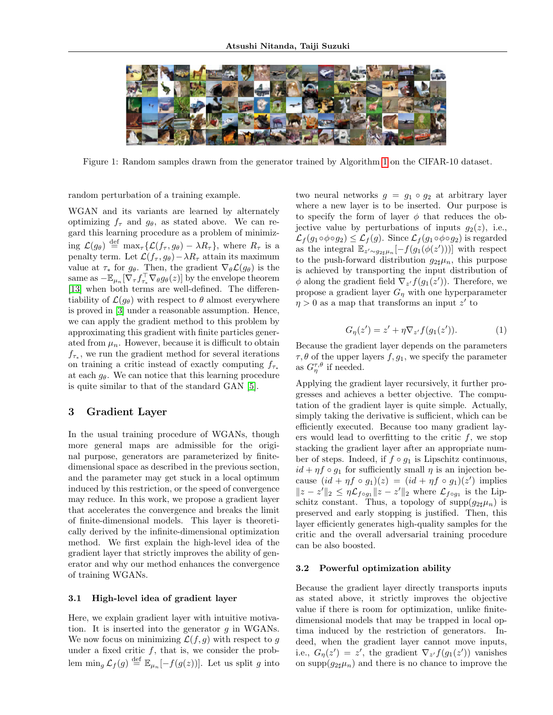

Figure 1: Random samples drawn from the generator trained by Algorithm [1](#page-3-0) on the CIFAR-10 dataset.

random perturbation of a training example.

WGAN and its variants are learned by alternately optimizing  $f_{\tau}$  and  $g_{\theta}$ , as stated above. We can regard this learning procedure as a problem of minimizing  $\mathcal{L}(g_{\theta}) \stackrel{\text{def}}{=} \max_{\tau} {\{\mathcal{L}(f_{\tau}, g_{\theta}) - \lambda R_{\tau}\}}$ , where  $R_{\tau}$  is a penalty term. Let  $\mathcal{L}(f_\tau, g_\theta) - \lambda R_\tau$  attain its maximum value at  $\tau_*$  for  $g_\theta$ . Then, the gradient  $\nabla_\theta \mathcal{L}(g_\theta)$  is the same as  $-\mathbb{E}_{\mu_n}[\bar{\nabla}_{\tau} f_{\tau_*}^{\top} \nabla_{\theta} g_{\theta}(z)]$  by the envelope theorem [\[13\]](#page-8-13) when both terms are well-defined. The differentiability of  $\mathcal{L}(q_{\theta})$  with respect to  $\theta$  almost everywhere is proved in [\[3\]](#page-8-7) under a reasonable assumption. Hence, we can apply the gradient method to this problem by approximating this gradient with finite particles generated from  $\mu_n$ . However, because it is difficult to obtain  $f_{\tau*}$ , we run the gradient method for several iterations on training a critic instead of exactly computing  $f_{\tau^*}$ at each  $g_{\theta}$ . We can notice that this learning procedure is quite similar to that of the standard GAN [\[5\]](#page-8-0).

## 3 Gradient Layer

In the usual training procedure of WGANs, though more general maps are admissible for the original purpose, generators are parameterized by finitedimensional space as described in the previous section, and the parameter may get stuck in a local optimum induced by this restriction, or the speed of convergence may reduce. In this work, we propose a gradient layer that accelerates the convergence and breaks the limit of finite-dimensional models. This layer is theoretically derived by the infinite-dimensional optimization method. We first explain the high-level idea of the gradient layer that strictly improves the ability of generator and why our method enhances the convergence of training WGANs.

#### 3.1 High-level idea of gradient layer

Here, we explain gradient layer with intuitive motivation. It is inserted into the generator  $g$  in WGANs. We now focus on minimizing  $\mathcal{L}(f,g)$  with respect to g under a fixed critic  $f$ , that is, we consider the problem min<sub>g</sub>  $\mathcal{L}_f(g) \stackrel{\text{def}}{=} \mathbb{E}_{\mu_n}[-f(g(z))]$ . Let us split g into

two neural networks  $g = g_1 \circ g_2$  at arbitrary layer where a new layer is to be inserted. Our purpose is to specify the form of layer  $\phi$  that reduces the objective value by perturbations of inputs  $g_2(z)$ , i.e.,  $\mathcal{L}_f(g_1 \circ \phi \circ g_2) \leq \mathcal{L}_f(g)$ . Since  $\mathcal{L}_f(g_1 \circ \phi \circ g_2)$  is regarded as the integral  $\mathbb{E}_{z \sim g_{2\sharp} \mu_n}[-f(g_1(\phi(z')))]$  with respect to the push-forward distribution  $g_{2\sharp}\mu_n$ , this purpose is achieved by transporting the input distribution of  $\phi$  along the gradient field  $\nabla_{z'} f(g_1(z'))$ . Therefore, we propose a gradient layer  $G_n$  with one hyperparameter  $\eta > 0$  as a map that transforms an input z' to

$$
G_{\eta}(z') = z' + \eta \nabla_{z'} f(g_1(z')).
$$
 (1)

Because the gradient layer depends on the parameters  $\tau, \theta$  of the upper layers  $f, g_1$ , we specify the parameter as  $G_{\eta}^{\tau,\theta}$  if needed.

Applying the gradient layer recursively, it further progresses and achieves a better objective. The computation of the gradient layer is quite simple. Actually, simply taking the derivative is sufficient, which can be efficiently executed. Because too many gradient layers would lead to overfitting to the critic  $f$ , we stop stacking the gradient layer after an appropriate number of steps. Indeed, if  $f \circ q_1$  is Lipschitz continuous,  $id + \eta f \circ q_1$  for sufficiently small  $\eta$  is an injection because  $(id + \eta f \circ g_1)(z) = (id + \eta f \circ g_1)(z')$  implies  $||z - z'||_2 \leq \eta \mathcal{L}_{f \circ g_1} ||z - z'||_2$  where  $\mathcal{L}_{f \circ g_1}$  is the Lipschitz constant. Thus, a topology of supp $(g_{2\sharp}\mu_n)$  is preserved and early stopping is justified. Then, this layer efficiently generates high-quality samples for the critic and the overall adversarial training procedure can be also boosted.

#### 3.2 Powerful optimization ability

Because the gradient layer directly transports inputs as stated above, it strictly improves the objective value if there is room for optimization, unlike finitedimensional models that may be trapped in local optima induced by the restriction of generators. Indeed, when the gradient layer cannot move inputs, i.e.,  $G_{\eta}(z') = z'$ , the gradient  $\nabla_{z'} f(g_1(z'))$  vanishes on supp $(g_{2\sharp}\mu_n)$  and there is no chance to improve the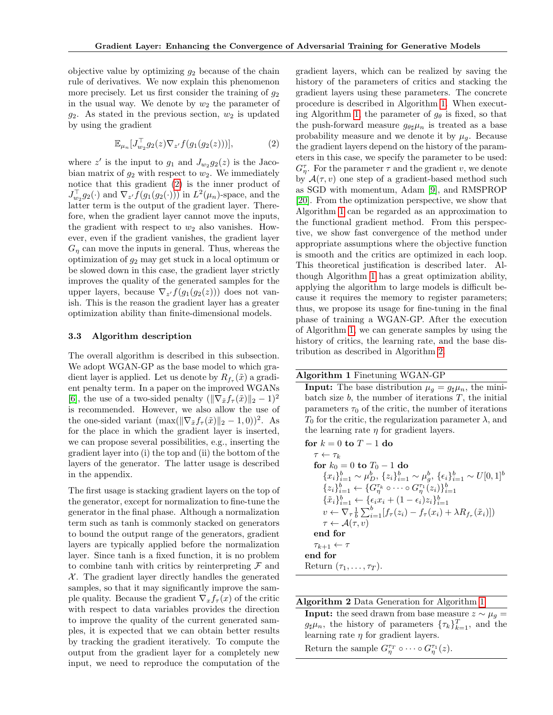objective value by optimizing  $q_2$  because of the chain rule of derivatives. We now explain this phenomenon more precisely. Let us first consider the training of  $g_2$ in the usual way. We denote by  $w_2$  the parameter of  $g_2$ . As stated in the previous section,  $w_2$  is updated by using the gradient

<span id="page-3-1"></span>
$$
\mathbb{E}_{\mu_n}[J_{w_2}^{\top}g_2(z)\nabla_{z'}f(g_1(g_2(z)))],\tag{2}
$$

where  $z'$  is the input to  $g_1$  and  $J_{w_2}g_2(z)$  is the Jacobian matrix of  $g_2$  with respect to  $w_2$ . We immediately notice that this gradient [\(2\)](#page-3-1) is the inner product of  $J_{w_2}^{\top} g_2(\cdot)$  and  $\nabla_{z'} f(g_1(g_2(\cdot)))$  in  $L^2(\mu_n)$ -space, and the latter term is the output of the gradient layer. Therefore, when the gradient layer cannot move the inputs, the gradient with respect to  $w_2$  also vanishes. However, even if the gradient vanishes, the gradient layer  $G_n$  can move the inputs in general. Thus, whereas the optimization of  $g_2$  may get stuck in a local optimum or be slowed down in this case, the gradient layer strictly improves the quality of the generated samples for the upper layers, because  $\nabla_{z'} f(g_1(g_2(z)))$  does not vanish. This is the reason the gradient layer has a greater optimization ability than finite-dimensional models.

#### 3.3 Algorithm description

The overall algorithm is described in this subsection. We adopt WGAN-GP as the base model to which gradient layer is applied. Let us denote by  $R_{f_\tau}(\tilde{x})$  a gradient penalty term. In a paper on the improved WGANs [\[6\]](#page-8-9), the use of a two-sided penalty  $(\|\nabla_{\tilde{x}}f_{\tau}(\tilde{x})\|_2 - 1)^2$ is recommended. However, we also allow the use of the one-sided variant  $(\max(\|\nabla_{\tilde{x}}f_{\tau}(\tilde{x})\|_2 - 1, 0))^2$ . As for the place in which the gradient layer is inserted, we can propose several possibilities, e.g., inserting the gradient layer into (i) the top and (ii) the bottom of the layers of the generator. The latter usage is described in the appendix.

The first usage is stacking gradient layers on the top of the generator, except for normalization to fine-tune the generator in the final phase. Although a normalization term such as tanh is commonly stacked on generators to bound the output range of the generators, gradient layers are typically applied before the normalization layer. Since tanh is a fixed function, it is no problem to combine tanh with critics by reinterpreting  $\mathcal F$  and  $X$ . The gradient layer directly handles the generated samples, so that it may significantly improve the sample quality. Because the gradient  $\nabla_x f_\tau(x)$  of the critic with respect to data variables provides the direction to improve the quality of the current generated samples, it is expected that we can obtain better results by tracking the gradient iteratively. To compute the output from the gradient layer for a completely new input, we need to reproduce the computation of the

gradient layers, which can be realized by saving the history of the parameters of critics and stacking the gradient layers using these parameters. The concrete procedure is described in Algorithm [1.](#page-3-0) When execut-ing Algorithm [1,](#page-3-0) the parameter of  $g_{\theta}$  is fixed, so that the push-forward measure  $g_{\theta\sharp}\mu_n$  is treated as a base probability measure and we denote it by  $\mu_q$ . Because the gradient layers depend on the history of the parameters in this case, we specify the parameter to be used:  $G_{\eta}^{\tau}$ . For the parameter  $\tau$  and the gradient v, we denote by  $\mathcal{A}(\tau, v)$  one step of a gradient-based method such as SGD with momentum, Adam [\[9\]](#page-8-14), and RMSPROP [\[20\]](#page-8-15). From the optimization perspective, we show that Algorithm [1](#page-3-0) can be regarded as an approximation to the functional gradient method. From this perspective, we show fast convergence of the method under appropriate assumptions where the objective function is smooth and the critics are optimized in each loop. This theoretical justification is described later. Although Algorithm [1](#page-3-0) has a great optimization ability, applying the algorithm to large models is difficult because it requires the memory to register parameters; thus, we propose its usage for fine-tuning in the final phase of training a WGAN-GP. After the execution of Algorithm [1,](#page-3-0) we can generate samples by using the history of critics, the learning rate, and the base distribution as described in Algorithm [2.](#page-3-2)

#### Algorithm 1 Finetuning WGAN-GP

<span id="page-3-0"></span>**Input:** The base distribution  $\mu_q = g_{\sharp} \mu_n$ , the minibatch size  $b$ , the number of iterations  $T$ , the initial parameters  $\tau_0$  of the critic, the number of iterations  $T_0$  for the critic, the regularization parameter  $\lambda$ , and the learning rate  $\eta$  for gradient layers.

for 
$$
k = 0
$$
 to  $T - 1$  do  
\n $\tau \leftarrow \tau_k$   
\nfor  $k_0 = 0$  to  $T_0 - 1$  do  
\n $\{x_i\}_{i=1}^b \sim \mu_D^b, \{z_i\}_{i=1}^b \sim \mu_g^b, \{\epsilon_i\}_{i=1}^b \sim U[0, 1]^b$   
\n $\{z_i\}_{i=1}^b \leftarrow \{G_{\eta}^{\tau_k} \circ \cdots \circ G_{\eta}^{\tau_1}(z_i)\}_{i=1}^b$   
\n $\{\tilde{x}_i\}_{i=1}^b \leftarrow \{\epsilon_i x_i + (1 - \epsilon_i) z_i\}_{i=1}^b$   
\n $v \leftarrow \nabla_{\tau} \frac{1}{b} \sum_{i=1}^b [f_{\tau}(z_i) - f_{\tau}(x_i) + \lambda R_{f_{\tau}}(\tilde{x}_i)])$   
\n $\tau \leftarrow \mathcal{A}(\tau, v)$   
\nend for  
\n $\tau_{k+1} \leftarrow \tau$   
\nend for  
\nReturn  $(\tau_1, \ldots, \tau_T)$ .

<span id="page-3-2"></span>Algorithm 2 Data Generation for Algorithm [1](#page-3-0) **Input:** the seed drawn from base measure  $z \sim \mu_q =$  $g_{\sharp}\mu_n$ , the history of parameters  $\{\tau_k\}_{k=1}^T$ , and the learning rate  $\eta$  for gradient layers.

Return the sample  $G_{\eta}^{\tau_T} \circ \cdots \circ G_{\eta}^{\tau_1}(z)$ .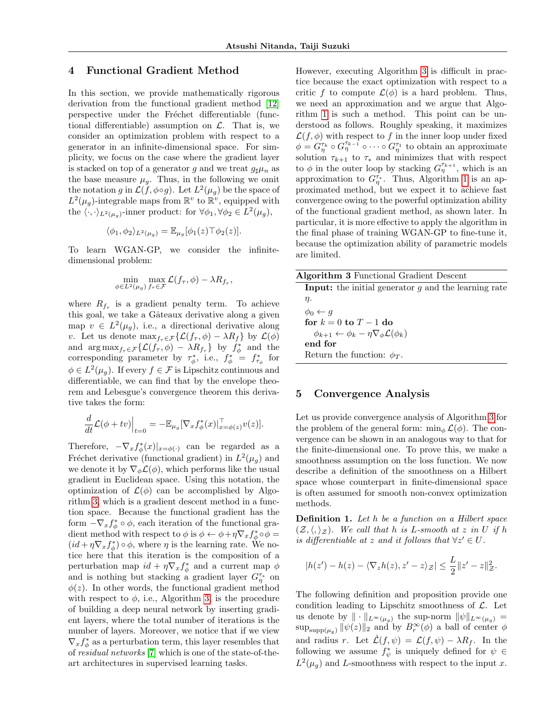## 4 Functional Gradient Method

In this section, we provide mathematically rigorous derivation from the functional gradient method [\[12\]](#page-8-10) perspective under the Fréchet differentiable (functional differentiable) assumption on  $\mathcal{L}$ . That is, we consider an optimization problem with respect to a generator in an infinite-dimensional space. For simplicity, we focus on the case where the gradient layer is stacked on top of a generator g and we treat  $g_{\sharp}\mu_n$  as the base measure  $\mu_q$ . Thus, in the following we omit the notation g in  $\mathcal{L}(\bar{f}, \phi \circ g)$ . Let  $L^2(\mu_g)$  be the space of  $L^2(\mu_g)$ -integrable maps from  $\mathbb{R}^v$  to  $\mathbb{R}^v$ , equipped with the  $\langle \cdot, \cdot \rangle_{L^2(\mu_g)}$ -inner product: for  $\forall \phi_1, \forall \phi_2 \in L^2(\mu_g)$ ,

$$
\langle \phi_1, \phi_2 \rangle_{L^2(\mu_g)} = \mathbb{E}_{\mu_g}[\phi_1(z) \top \phi_2(z)].
$$

To learn WGAN-GP, we consider the infinitedimensional problem:

$$
\min_{\phi \in L^2(\mu_g)} \max_{f_\tau \in \mathcal{F}} \mathcal{L}(f_\tau, \phi) - \lambda R_{f_\tau},
$$

where  $R_{f_\tau}$  is a gradient penalty term. To achieve this goal, we take a Gâteaux derivative along a given map  $v \in L^2(\mu_g)$ , i.e., a directional derivative along v. Let us denote  $\max_{f_{\tau} \in \mathcal{F}} \{ \mathcal{L}(f_{\tau}, \phi) - \lambda R_f \}$  by  $\mathcal{L}(\phi)$ and  $\arg \max_{f_{\tau} \in \mathcal{F}} \{ \mathcal{L}(f_{\tau}, \phi) - \lambda R_{f_{\tau}} \}$  by  $f_{\phi}^*$  and the corresponding parameter by  $\tau_{\phi}^*$ , i.e.,  $f_{\phi}^* = f_{\tau_{\phi}}^*$  for  $\phi \in L^2(\mu_g)$ . If every  $f \in \mathcal{F}$  is Lipschitz continuous and differentiable, we can find that by the envelope theorem and Lebesgue's convergence theorem this derivative takes the form:

$$
\frac{d}{dt}\mathcal{L}(\phi + tv)\Big|_{t=0} = -\mathbb{E}_{\mu_g}[\nabla_x f_{\phi}^*(x)|_{x=\phi(z)}^{\top}v(z)].
$$

Therefore,  $-\nabla_x f_{\phi}^*(x)|_{x=\phi(\cdot)}$  can be regarded as a Fréchet derivative (functional gradient) in  $L^2(\mu_g)$  and we denote it by  $\nabla_{\phi} \mathcal{L}(\phi)$ , which performs like the usual gradient in Euclidean space. Using this notation, the optimization of  $\mathcal{L}(\phi)$  can be accomplished by Algorithm [3,](#page-4-0) which is a gradient descent method in a function space. Because the functional gradient has the form  $-\nabla_x f^*_{\phi} \circ \phi$ , each iteration of the functional gradient method with respect to  $\phi$  is  $\phi \leftarrow \phi + \eta \nabla_x f^*_{\phi} \circ \phi =$  $(id + \eta \nabla_x f^*_{\phi}) \circ \phi$ , where  $\eta$  is the learning rate. We notice here that this iteration is the composition of a perturbation map  $id + \eta \nabla_x f^*_{\phi}$  and a current map  $\phi$ and is nothing but stacking a gradient layer  $G_{\eta}^{\tau_*}$  on  $\phi(z)$ . In other words, the functional gradient method with respect to  $\phi$ , i.e., Algorithm [3,](#page-4-0) is the procedure of building a deep neural network by inserting gradient layers, where the total number of iterations is the number of layers. Moreover, we notice that if we view  $\nabla_x f^*_{\phi}$  as a perturbation term, this layer resembles that of residual networks [\[7\]](#page-8-16) which is one of the state-of-theart architectures in supervised learning tasks.

However, executing Algorithm [3](#page-4-0) is difficult in practice because the exact optimization with respect to a critic f to compute  $\mathcal{L}(\phi)$  is a hard problem. Thus, we need an approximation and we argue that Algorithm [1](#page-3-0) is such a method. This point can be understood as follows. Roughly speaking, it maximizes  $\mathcal{L}(f, \phi)$  with respect to f in the inner loop under fixed  $\phi = G_{\eta}^{\tau_k} \circ G_{\eta}^{\tau_{k-1}} \circ \cdots \circ G_{\eta}^{\tau_1}$  to obtain an approximate solution  $\tau_{k+1}$  to  $\tau_*$  and minimizes that with respect to  $\phi$  in the outer loop by stacking  $G_{\eta}^{\tau_{k+1}}$ , which is an approximation to  $G_{\eta}^{\tau_*}$ . Thus, Algorithm [1](#page-3-0) is an approximated method, but we expect it to achieve fast convergence owing to the powerful optimization ability of the functional gradient method, as shown later. In particular, it is more effective to apply the algorithm in the final phase of training WGAN-GP to fine-tune it, because the optimization ability of parametric models are limited.

<span id="page-4-0"></span>

| <b>Algorithm 3</b> Functional Gradient Descent                          |
|-------------------------------------------------------------------------|
| <b>Input:</b> the initial generator $g$ and the learning rate           |
| $\eta$ .                                                                |
| $\phi_0 \leftarrow q$                                                   |
| for $k = 0$ to $T - 1$ do                                               |
| $\phi_{k+1} \leftarrow \phi_k - \eta \nabla_{\phi} \mathcal{L}(\phi_k)$ |
| end for                                                                 |
| Return the function: $\phi_T$ .                                         |
|                                                                         |

## 5 Convergence Analysis

Let us provide convergence analysis of Algorithm [3](#page-4-0) for the problem of the general form:  $\min_{\phi} \mathcal{L}(\phi)$ . The convergence can be shown in an analogous way to that for the finite-dimensional one. To prove this, we make a smoothness assumption on the loss function. We now describe a definition of the smoothness on a Hilbert space whose counterpart in finite-dimensional space is often assumed for smooth non-convex optimization methods.

**Definition 1.** Let h be a function on a Hilbert space  $(\mathcal{Z}, \langle, \rangle_{\mathcal{Z}})$ . We call that h is L-smooth at z in U if h is differentiable at z and it follows that  $\forall z' \in U$ .

$$
|h(z') - h(z) - \langle \nabla_z h(z), z' - z \rangle_{\mathcal{Z}}| \leq \frac{L}{2} ||z' - z||_{\mathcal{Z}}^2.
$$

The following definition and proposition provide one condition leading to Lipschitz smoothness of  $\mathcal{L}$ . Let us denote by  $\|\cdot\|_{L^{\infty}(\mu_q)}$  the sup-norm  $\|\psi\|_{L^{\infty}(\mu_q)} =$  $\sup_{\text{supp}(\mu_{\mathcal{B}})} ||\psi(z)||_2$  and by  $B_r^{\infty}(\phi)$  a ball of center  $\phi$ and radius r. Let  $\mathcal{L}(f, \psi) = \mathcal{L}(f, \psi) - \lambda R_f$ . In the following we assume  $f^*_{\psi}$  is uniquely defined for  $\psi \in$  $L^2(\mu_g)$  and L-smoothness with respect to the input x.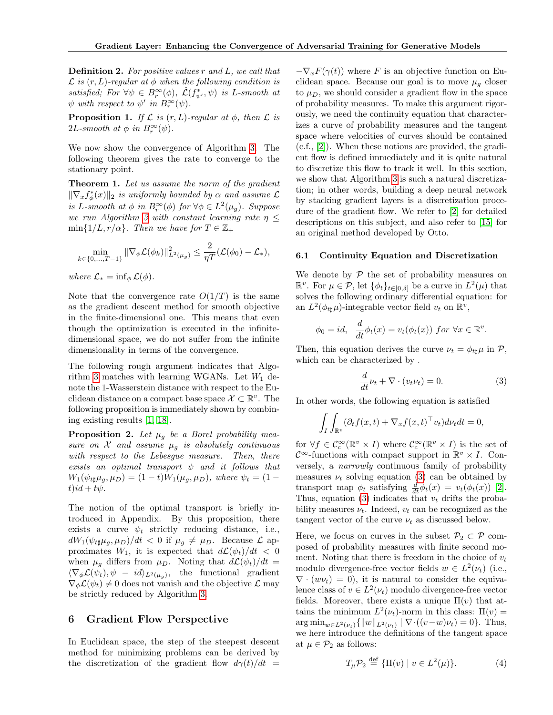Definition 2. For positive values r and L, we call that  $\mathcal L$  is  $(r, L)$ -regular at  $\phi$  when the following condition is satisfied; For  $\forall \psi \in B_r^{\infty}(\phi)$ ,  $\mathcal{L}(f_{\psi'}^*, \psi)$  is L-smooth at  $\psi$  with respect to  $\psi'$  in  $B_r^{\infty}(\psi)$ .

**Proposition 1.** If  $\mathcal L$  is  $(r, L)$ -regular at  $\phi$ , then  $\mathcal L$  is 2L-smooth at  $\phi$  in  $B_r^{\infty}(\psi)$ .

We now show the convergence of Algorithm [3.](#page-4-0) The following theorem gives the rate to converge to the stationary point.

Theorem 1. Let us assume the norm of the gradient  $\|\nabla_x f^*_\phi(x)\|_2$  is uniformly bounded by  $\alpha$  and assume  $\mathcal L$ is L-smooth at  $\phi$  in  $B_r^{\infty}(\phi)$  for  $\forall \phi \in L^2(\mu_g)$ . Suppose we run Algorithm [3](#page-4-0) with constant learning rate  $\eta \leq$  $\min\{1/L, r/\alpha\}$ . Then we have for  $T \in \mathbb{Z}_+$ 

$$
\min_{k \in \{0, ..., T-1\}} \|\nabla_{\phi} \mathcal{L}(\phi_k)\|_{L^2(\mu_g)}^2 \le \frac{2}{\eta T} (\mathcal{L}(\phi_0) - \mathcal{L}_*),
$$

where  $\mathcal{L}_{*} = \inf_{\phi} \mathcal{L}(\phi)$ .

Note that the convergence rate  $O(1/T)$  is the same as the gradient descent method for smooth objective in the finite-dimensional one. This means that even though the optimization is executed in the infinitedimensional space, we do not suffer from the infinite dimensionality in terms of the convergence.

The following rough argument indicates that Algo-rithm [3](#page-4-0) matches with learning WGANs. Let  $W_1$  denote the 1-Wasserstein distance with respect to the Euclidean distance on a compact base space  $\mathcal{X} \subset \mathbb{R}^v$ . The following proposition is immediately shown by combining existing results [\[1,](#page-8-17) [18\]](#page-8-18).

**Proposition 2.** Let  $\mu_q$  be a Borel probability measure on  $X$  and assume  $\mu_g$  is absolutely continuous with respect to the Lebesgue measure. Then, there exists an optimal transport  $\psi$  and it follows that  $W_1(\psi_{t\sharp}\mu_q, \mu_D) = (1-t)W_1(\mu_q, \mu_D),$  where  $\psi_t = (1-t)W_1(\mu_q, \mu_D)$  $t$ ) $id + t\psi$ .

The notion of the optimal transport is briefly introduced in Appendix. By this proposition, there exists a curve  $\psi_t$  strictly reducing distance, i.e.,  $dW_1(\psi_{t\sharp}\mu_g, \mu_D)/dt < 0$  if  $\mu_g \neq \mu_D$ . Because  $\mathcal{L}$  approximates  $W_1$ , it is expected that  $d\mathcal{L}(\psi_t)/dt < 0$ when  $\mu_g$  differs from  $\mu_D$ . Noting that  $d\mathcal{L}(\psi_t)/dt =$  $\langle \nabla_{\phi} \mathcal{L}(\psi_t), \psi - id \rangle_{L^2(\mu_g)},$  the functional gradient  $\nabla_{\phi} \mathcal{L}(\psi_t) \neq 0$  does not vanish and the objective  $\mathcal{L}$  may be strictly reduced by Algorithm [3.](#page-4-0)

### 6 Gradient Flow Perspective

In Euclidean space, the step of the steepest descent method for minimizing problems can be derived by the discretization of the gradient flow  $d\gamma(t)/dt =$ 

 $-\nabla_x F(\gamma(t))$  where F is an objective function on Euclidean space. Because our goal is to move  $\mu<sub>g</sub>$  closer to  $\mu_D$ , we should consider a gradient flow in the space of probability measures. To make this argument rigorously, we need the continuity equation that characterizes a curve of probability measures and the tangent space where velocities of curves should be contained (c.f., [\[2\]](#page-8-19)). When these notions are provided, the gradient flow is defined immediately and it is quite natural to discretize this flow to track it well. In this section, we show that Algorithm [3](#page-4-0) is such a natural discretization; in other words, building a deep neural network by stacking gradient layers is a discretization procedure of the gradient flow. We refer to [\[2\]](#page-8-19) for detailed descriptions on this subject, and also refer to [\[15\]](#page-8-20) for an original method developed by Otto.

#### 6.1 Continuity Equation and Discretization

We denote by  $P$  the set of probability measures on  $\mathbb{R}^v$ . For  $\mu \in \mathcal{P}$ , let  $\{\phi_t\}_{t \in [0,\delta]}$  be a curve in  $L^2(\mu)$  that solves the following ordinary differential equation: for an  $L^2(\phi_{t\sharp}\mu)$ -integrable vector field  $v_t$  on  $\mathbb{R}^v$ ,

$$
\phi_0 = id, \quad \frac{d}{dt}\phi_t(x) = v_t(\phi_t(x)) \text{ for } \forall x \in \mathbb{R}^v.
$$

Then, this equation derives the curve  $\nu_t = \phi_{tt} \mu$  in  $\mathcal{P}$ , which can be characterized by .

<span id="page-5-0"></span>
$$
\frac{d}{dt}\nu_t + \nabla \cdot (v_t \nu_t) = 0.
$$
\n(3)

In other words, the following equation is satisfied

$$
\int_I \int_{\mathbb{R}^v} (\partial_t f(x, t) + \nabla_x f(x, t)^\top v_t) d\nu_t dt = 0,
$$

for  $\forall f \in \mathcal{C}_c^{\infty}(\mathbb{R}^v \times I)$  where  $\mathcal{C}_c^{\infty}(\mathbb{R}^v \times I)$  is the set of  $\mathcal{C}^{\infty}$ -functions with compact support in  $\mathbb{R}^v \times I$ . Conversely, a narrowly continuous family of probability measures  $\nu_t$  solving equation [\(3\)](#page-5-0) can be obtained by transport map  $\phi_t$  satisfying  $\frac{d}{dt}\phi_t(x) = v_t(\phi_t(x))$  [\[2\]](#page-8-19). Thus, equation [\(3\)](#page-5-0) indicates that  $v_t$  drifts the probability measures  $\nu_t$ . Indeed,  $v_t$  can be recognized as the tangent vector of the curve  $\nu_t$  as discussed below.

Here, we focus on curves in the subset  $\mathcal{P}_2 \subset \mathcal{P}$  composed of probability measures with finite second moment. Noting that there is freedom in the choice of  $v_t$ modulo divergence-free vector fields  $w \in L^2(\nu_t)$  (i.e.,  $\nabla \cdot (w \nu_t) = 0$ , it is natural to consider the equivalence class of  $v \in L^2(\nu_t)$  modulo divergence-free vector fields. Moreover, there exists a unique  $\Pi(v)$  that attains the minimum  $L^2(\nu_t)$ -norm in this class:  $\Pi(v)$  =  $\arg \min_{w \in L^2(\nu_t)} \{ ||w||_{L^2(\nu_t)} \mid \nabla \cdot ((v-w)\nu_t) = 0 \}.$  Thus, we here introduce the definitions of the tangent space at  $\mu \in \mathcal{P}_2$  as follows:

$$
T_{\mu} \mathcal{P}_2 \stackrel{\text{def}}{=} \{ \Pi(v) \mid v \in L^2(\mu) \}. \tag{4}
$$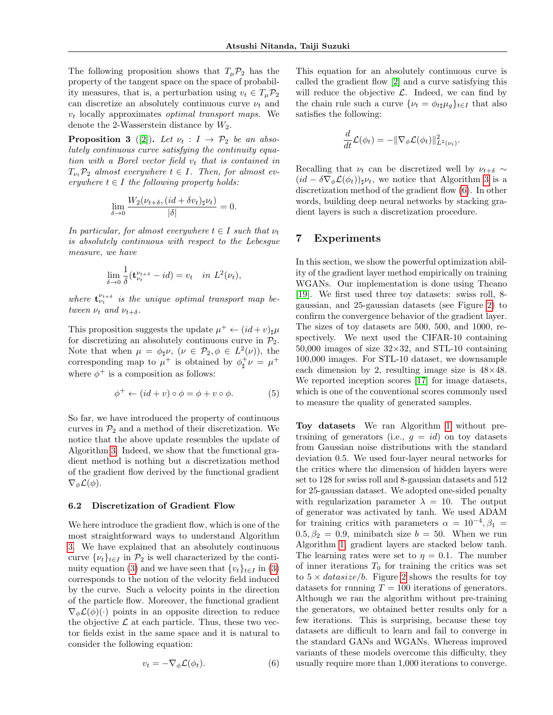The following proposition shows that  $T_{\mu}P_2$  has the property of the tangent space on the space of probability measures, that is, a perturbation using  $v_t \in T_\mu \mathcal{P}_2$ can discretize an absolutely continuous curve  $\nu_t$  and  $v_t$  locally approximates *optimal transport maps*. We denote the 2-Wasserstein distance by  $W_2$ .

**Proposition 3** ([\[2\]](#page-8-19)). Let  $\nu_t : I \rightarrow \mathcal{P}_2$  be an absolutely continuous curve satisfying the continuity equation with a Borel vector field  $v_t$  that is contained in  $T_{\nu_t}P_2$  almost everywhere  $t \in I$ . Then, for almost everywhere  $t \in I$  the following property holds:

$$
\lim_{\delta \to 0} \frac{W_2(\nu_{t+\delta}, (id + \delta v_t)_{\sharp} \nu_t)}{|\delta|} = 0.
$$

In particular, for almost everywhere  $t \in I$  such that  $\nu_t$ is absolutely continuous with respect to the Lebesgue measure, we have

$$
\lim_{\delta \to 0} \frac{1}{\delta} (\mathbf{t}_{\nu_t}^{\nu_{t+\delta}} - id) = v_t \quad in \ L^2(\nu_t),
$$

where  $\mathbf{t}_{\nu_t}^{\nu_{t+\delta}}$  is the unique optimal transport map between  $\nu_t$  and  $\nu_{t+\delta}$ .

This proposition suggests the update  $\mu^+ \leftarrow (id + v)_{\sharp} \mu$ for discretizing an absolutely continuous curve in  $\mathcal{P}_2$ . Note that when  $\mu = \phi_{\sharp} \nu$ ,  $(\nu \in \mathcal{P}_2, \phi \in L^2(\nu))$ , the corresponding map to  $\mu^+$  is obtained by  $\phi^+_{\sharp} \nu = \mu^+$ where  $\phi^+$  is a composition as follows:

$$
\phi^+ \leftarrow (id + v) \circ \phi = \phi + v \circ \phi. \tag{5}
$$

So far, we have introduced the property of continuous curves in  $\mathcal{P}_2$  and a method of their discretization. We notice that the above update resembles the update of Algorithm [3.](#page-4-0) Indeed, we show that the functional gradient method is nothing but a discretization method of the gradient flow derived by the functional gradient  $\nabla_{\phi} \mathcal{L}(\phi)$ .

#### 6.2 Discretization of Gradient Flow

We here introduce the gradient flow, which is one of the most straightforward ways to understand Algorithm [3.](#page-4-0) We have explained that an absolutely continuous curve  $\{\nu_t\}_{t\in I}$  in  $\mathcal{P}_2$  is well characterized by the conti-nuity equation [\(3\)](#page-5-0) and we have seen that  $\{v_t\}_{t\in I}$  in (3) corresponds to the notion of the velocity field induced by the curve. Such a velocity points in the direction of the particle flow. Moreover, the functional gradient  $\nabla_{\phi} \mathcal{L}(\phi)(\cdot)$  points in an opposite direction to reduce the objective  $\mathcal L$  at each particle. Thus, these two vector fields exist in the same space and it is natural to consider the following equation:

<span id="page-6-0"></span>
$$
v_t = -\nabla_{\phi} \mathcal{L}(\phi_t). \tag{6}
$$

This equation for an absolutely continuous curve is called the gradient flow [\[2\]](#page-8-19) and a curve satisfying this will reduce the objective  $\mathcal{L}$ . Indeed, we can find by the chain rule such a curve  $\{\nu_t = \phi_{tt} \mu_q\}_{t \in I}$  that also satisfies the following:

$$
\frac{d}{dt}\mathcal{L}(\phi_t) = -\|\nabla_{\phi}\mathcal{L}(\phi_t)\|_{L^2(\nu_t)}^2.
$$

Recalling that  $\nu_t$  can be discretized well by  $\nu_{t+\delta} \sim$  $(id - \delta \nabla_{\phi} \mathcal{L}(\phi_t))_{\sharp} \nu_t$ , we notice that Algorithm [3](#page-4-0) is a discretization method of the gradient flow [\(6\)](#page-6-0). In other words, building deep neural networks by stacking gradient layers is such a discretization procedure.

## 7 Experiments

In this section, we show the powerful optimization ability of the gradient layer method empirically on training WGANs. Our implementation is done using Theano [\[19\]](#page-8-21). We first used three toy datasets: swiss roll, 8 gaussian, and 25-gaussian datasets (see Figure [2\)](#page-7-0) to confirm the convergence behavior of the gradient layer. The sizes of toy datasets are 500, 500, and 1000, respectively. We next used the CIFAR-10 containing 50,000 images of size  $32\times32$ , and STL-10 containing 100,000 images. For STL-10 dataset, we downsample each dimension by 2, resulting image size is  $48\times48$ . We reported inception scores [\[17\]](#page-8-3) for image datasets, which is one of the conventional scores commonly used to measure the quality of generated samples.

Toy datasets We ran Algorithm [1](#page-3-0) without pretraining of generators (i.e.,  $q = id$ ) on toy datasets from Gaussian noise distributions with the standard deviation 0.5. We used four-layer neural networks for the critics where the dimension of hidden layers were set to 128 for swiss roll and 8-gaussian datasets and 512 for 25-gaussian dataset. We adopted one-sided penalty with regularization parameter  $\lambda = 10$ . The output of generator was activated by tanh. We used ADAM for training critics with parameters  $\alpha = 10^{-4}, \beta_1 =$  $0.5, \beta_2 = 0.9$ , minibatch size  $b = 50$ . When we run Algorithm [1,](#page-3-0) gradient layers are stacked below tanh. The learning rates were set to  $\eta = 0.1$ . The number of inner iterations  $T_0$  for training the critics was set to  $5 \times data size/b$ . Figure [2](#page-7-0) shows the results for toy datasets for running  $T = 100$  iterations of generators. Although we ran the algorithm without pre-training the generators, we obtained better results only for a few iterations. This is surprising, because these toy datasets are difficult to learn and fail to converge in the standard GANs and WGANs. Whereas improved variants of these models overcome this difficulty, they usually require more than 1,000 iterations to converge.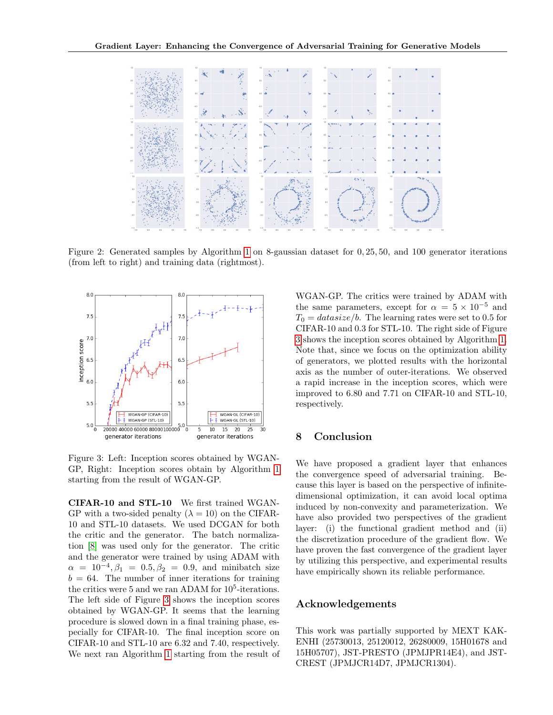

Figure 2: Generated samples by Algorithm [1](#page-3-0) on 8-gaussian dataset for 0, 25, 50, and 100 generator iterations (from left to right) and training data (rightmost).



Figure 3: Left: Inception scores obtained by WGAN-GP, Right: Inception scores obtain by Algorithm [1](#page-3-0) starting from the result of WGAN-GP.

CIFAR-10 and STL-10 We first trained WGAN-GP with a two-sided penalty  $(\lambda = 10)$  on the CIFAR-10 and STL-10 datasets. We used DCGAN for both the critic and the generator. The batch normalization [\[8\]](#page-8-22) was used only for the generator. The critic and the generator were trained by using ADAM with  $\alpha = 10^{-4}, \beta_1 = 0.5, \beta_2 = 0.9, \text{ and minibatch size}$  $b = 64$ . The number of inner iterations for training the critics were 5 and we ran ADAM for  $10^5$ -iterations. The left side of Figure [3](#page-7-1) shows the inception scores obtained by WGAN-GP. It seems that the learning procedure is slowed down in a final training phase, especially for CIFAR-10. The final inception score on CIFAR-10 and STL-10 are 6.32 and 7.40, respectively. We next ran Algorithm [1](#page-3-0) starting from the result of

<span id="page-7-0"></span>WGAN-GP. The critics were trained by ADAM with the same parameters, except for  $\alpha = 5 \times 10^{-5}$  and  $T_0 = data size/b$ . The learning rates were set to 0.5 for CIFAR-10 and 0.3 for STL-10. The right side of Figure [3](#page-7-1) shows the inception scores obtained by Algorithm [1.](#page-3-0) Note that, since we focus on the optimization ability of generators, we plotted results with the horizontal axis as the number of outer-iterations. We observed a rapid increase in the inception scores, which were improved to 6.80 and 7.71 on CIFAR-10 and STL-10, respectively.

# <span id="page-7-1"></span>8 Conclusion

We have proposed a gradient layer that enhances the convergence speed of adversarial training. Because this layer is based on the perspective of infinitedimensional optimization, it can avoid local optima induced by non-convexity and parameterization. We have also provided two perspectives of the gradient layer: (i) the functional gradient method and (ii) the discretization procedure of the gradient flow. We have proven the fast convergence of the gradient layer by utilizing this perspective, and experimental results have empirically shown its reliable performance.

### Acknowledgements

This work was partially supported by MEXT KAK-ENHI (25730013, 25120012, 26280009, 15H01678 and 15H05707), JST-PRESTO (JPMJPR14E4), and JST-CREST (JPMJCR14D7, JPMJCR1304).